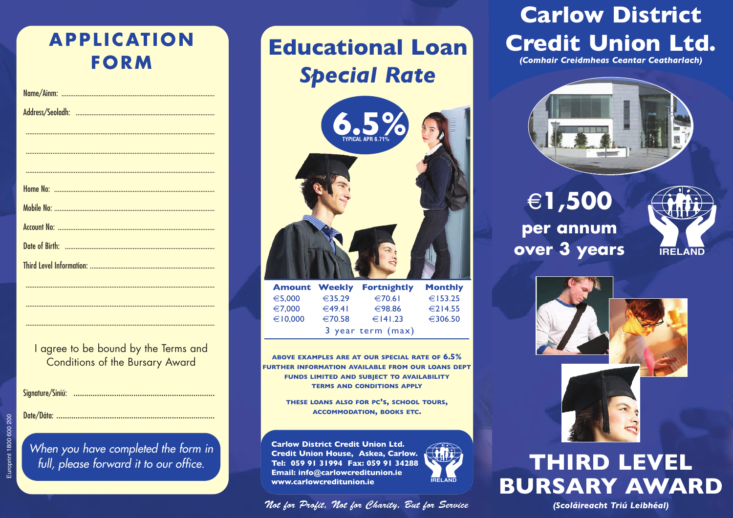## **APPL ICAT ION FORM**

I agree to be bound by the Terms and Conditions of the Bursary Award

..........................................................................................................

..........................................................................................................

..........................................................................................................

Signature/Síniú: ..................................................................

Date/Dáta: ..........................................................................

*When you have completed the form in full, please forward it to our office.*

# **Educational Loan** *Special Rate*



|                   |                  | <b>Amount Weekly Fortnightly</b> | <b>Monthly</b> |
|-------------------|------------------|----------------------------------|----------------|
| €5,000            | $\epsilon$ 35.29 | $\epsilon$ 70.61                 | €153.25        |
| €7,000            | $\in$ 49.41      | €98.86                           | €214.55        |
| €10,000           | €70.58           | $∈$ $141.23$                     | €306.50        |
| 3 year term (max) |                  |                                  |                |

**ABOVE EXAMPLES ARE AT OUR SPECIAL RATE OF 6.5% FURTHER INFORMATION AVAILABLE FROM OUR LOANS DEPT FUNDS LIMITED AND SUBJECT TO AVAILABILITY TERMS AND CONDITIONS APPLY**

> **THESE LOANS ALSO FOR PC's, SCHOOL TOURS, ACCOMMODATION, BOOKS ETC.**

**Carlow District Credit Union Ltd. Credit Union House, Askea, Carlow. Tel: 059 91 31994 Fax: 059 91 34288 Email: info@carlowcreditunion.ie www.carlowcreditunion.ie**

#### Not for Profit, Not for Charity, But for Service *(Scoláireacht Triú Leibhéal)*

# **Carlow District Credit Union Ltd.**

*(Comhair Creidmheas Ceantar Ceatharlach)*



g**1,500 per annum over 3 years**





## **THIRD LEVEL BURSARY AWARD**